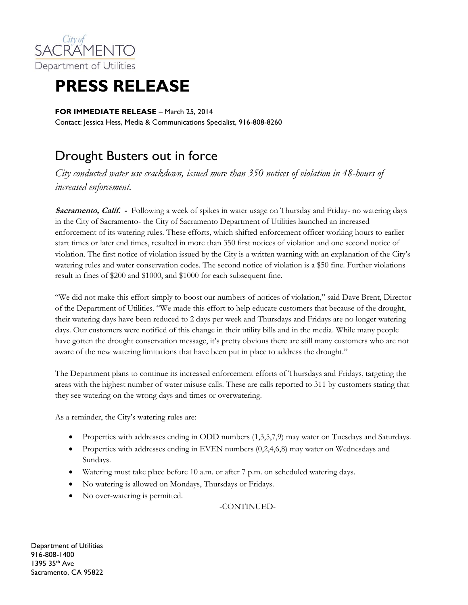

## **PRESS RELEASE**

**FOR IMMEDIATE RELEASE** - March 25, 2014 Contact: Jessica Hess, Media & Communications Specialist, 916-808-8260

## Drought Busters out in force

*City conducted water use crackdown, issued more than 350 notices of violation in 48-hours of increased enforcement.* 

**Sacramento, Calif. -** Following a week of spikes in water usage on Thursday and Friday- no watering days in the City of Sacramento- the City of Sacramento Department of Utilities launched an increased enforcement of its watering rules. These efforts, which shifted enforcement officer working hours to earlier start times or later end times, resulted in more than 350 first notices of violation and one second notice of violation. The first notice of violation issued by the City is a written warning with an explanation of the City's watering rules and water conservation codes. The second notice of violation is a \$50 fine. Further violations result in fines of \$200 and \$1000, and \$1000 for each subsequent fine.

"We did not make this effort simply to boost our numbers of notices of violation," said Dave Brent, Director of the Department of Utilities. "We made this effort to help educate customers that because of the drought, their watering days have been reduced to 2 days per week and Thursdays and Fridays are no longer watering days. Our customers were notified of this change in their utility bills and in the media. While many people have gotten the drought conservation message, it's pretty obvious there are still many customers who are not aware of the new watering limitations that have been put in place to address the drought."

The Department plans to continue its increased enforcement efforts of Thursdays and Fridays, targeting the areas with the highest number of water misuse calls. These are calls reported to 311 by customers stating that they see watering on the wrong days and times or overwatering.

As a reminder, the City's watering rules are:

- Properties with addresses ending in ODD numbers (1,3,5,7,9) may water on Tuesdays and Saturdays.
- Properties with addresses ending in EVEN numbers (0,2,4,6,8) may water on Wednesdays and Sundays.
- Watering must take place before 10 a.m. or after 7 p.m. on scheduled watering days.
- No watering is allowed on Mondays, Thursdays or Fridays.
- No over-watering is permitted.

-CONTINUED-

Department of Utilities 916-808-1400 1395 35th Ave Sacramento, CA 95822